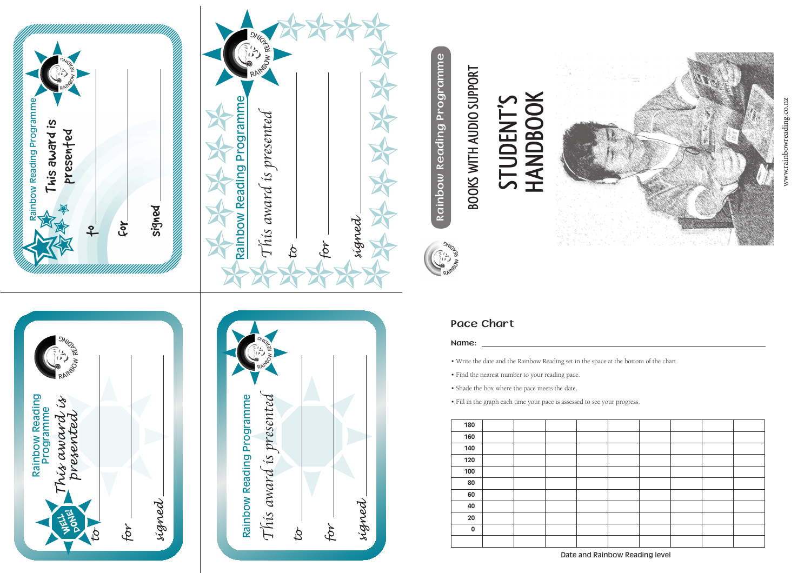

for

 $\varphi$ 

書 DONE!

for

**40200** www.rainbowreading.co.nz

www.rainbowreading.co.nz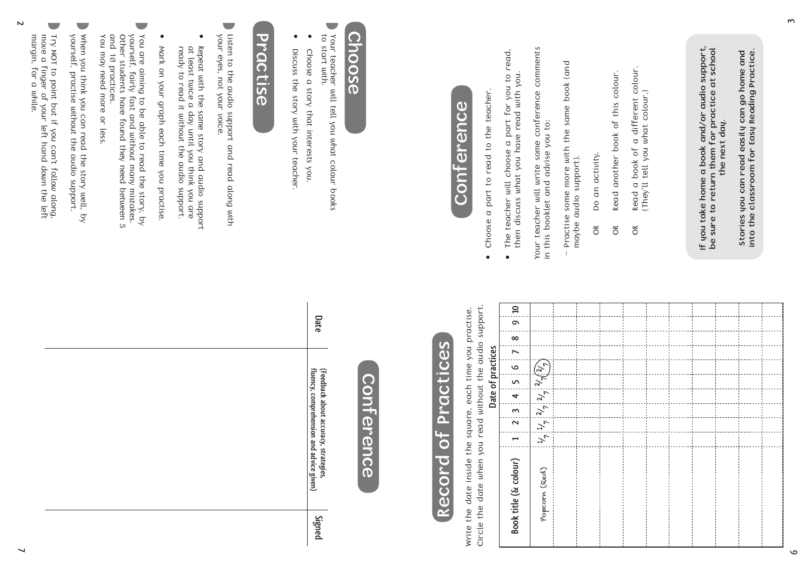**6**

**Date** (Feedback about accuracy, strategies,<br>fluency, comprehension and advice given) **fluency, comprehension and advice given) (Feedback about accuracy, strategies, Signed**

### *Conference***Conference**

#### Practices *Record of Practices* $\overline{0}$ Record

Circle the date when you read without the audio support. Circle the date when you read without the audio support. Write the date inside the square, each time you practise. Write the date inside the square, each time you practise.

## *Choose*

Your teacher will tell you what colour books<br>to start with. to start with. Your teacher will tell you what colour books

- Choose a story that interests you. Choose a story that interests you.
- Discuss the story with your teacher. Discuss the story with your teacher.

# *Practise*

- $\overline{\phantom{a}}$ Listen to the audio support and read along with your eyes, not your voice. your eyes, not your voice. Listen to the audio support and read along with
- $\bullet$ • Repeat with the same story and audio support Repeat with the same story and audio support at least twice a day until you think you are<br>at least twice a day until you think you are<br>ready to read it without the audio support. ready to read it without the audio support. at least twice a day until you think you are
- $\bullet$ • Mark on your graph each time you practise. Mark on your graph each time you practise.
- $\overline{\phantom{a}}$ You are aiming to be able to read the story, by<br>yourself, fairly fast and without many mistakes. Other students have found they need between 5 Other students have found they need between 5 yourself, fairly fast and without many mistakes. You are aiming to be able to read the story, by
- You may need more or less and 10 practices. You may need more or less. and 10 practices.
- $\overline{\phantom{a}}$ When you think you can read the story well, by<br>yourself, practise without the audio support. yourself, practise without the audio support. When you think you can read the story well, by
- $\overline{\phantom{a}}$ Try NOT to point but if you can't follow along,<br>move a finger of your left hand down the left<br>margin, for a while. margin, for a while. move a finger of your left hand down the left Try NOT to point but if you can't follow along,

**2**

- *Conference* erence Confe
- Choose a part to read to the teacher. • Choose a part to read to the teacher.  $\bullet$
- The teacher will choose a part for you to read, The teacher will choose a part for you to read,<br>then discuss what you have read with you. then discuss what you have read with you.  $\bullet$

Your teacher will write some conference comments Your teacher will write some conference comments in this booklet and advise you to: in this booklet and advise you to:

- Practise some more with the same book (and Practise some more with the same book (and maybe audio support). maybe audio support).  $\overline{1}$
- Do an activity. OR Do an activity.  $\widetilde{\sigma}$
- Read another book of this colour. OR Read another book of this colour.  $\tilde{\sigma}$
- Read a book of a different colour. OR Read a book of a different colour. (They'll tell you what colour.) (They'll tell you what colour.)  $\tilde{\sigma}$

*If you take home a book and/or audio support, be sure to return them for practice at school*  If you take home a book and/or audio support,<br>be sure to return them for practice at school<br>the next day. *the next day.*

stories you can read easily can go home and<br>into the classroom for Easy Reading Practice. *Stories you can read easily can go home and into the classroom for Easy Reading Practice.*